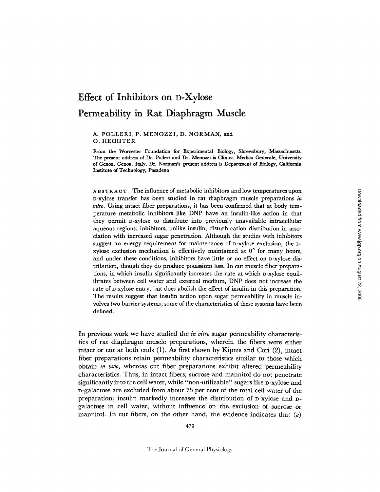# **Effect of Inhibitors on D-Xylose Permeability in Rat Diaphragm Muscle**

### A. POLLERI, P. MENOZZI, D. NORMAN, and O. HECHTER

From the Worcester Foundation for Experimental Biology, Shrewsbury, **Massachusetts.**  The present address of Dr. Polleri and Dr. Menozzi is CIinica Medica Generale, University of Genoa, Genoa, Italy. Dr. Norman's present address is Department of Biology, California Institute of Technology, Pasadena

ABSTRACT The influence of metabolic inhibitors and low temperatures upon D-xylose transfer has been studied in rat diaphragm muscle preparations *in vitro.* Using intact fiber preparations, it has been confirmed that at body temperature metabolic inhibitors like DNP have an insulin-like action in that they permit D-xylose to distribute into previously unavailable intracellular aqueous regions; inhibitors, unlike insulin, disturb cation distribution in association with increased sugar penetration. Although the studies with inhibitors suggest an energy requirement for maintenance of D-xylose exclusion, the Dxylose exclusion mechanism is effectively maintained at  $0^{\circ}$  for many hours, and under these conditions, inhibitors have little or no effect on D-xylose distribution, though they do produce potassium loss. In cut muscle fiber preparations, in which insulin significantly increases the rate at which D-xylose equilibrates between cell water and external medium, DNP does not increase the rate of D-xylose entry, but does abolish the effect of insulin in this preparation. The results suggest that insulin action upon sugar permeability in muscle involves two barrier systems; some of the characteristics of these systems have been defined.

In previous work we have studied the *in vitro* sugar permeability characteristics of rat diaphragm muscle preparations, wherein the fibers were either intact or cut at both ends (1). As first shown by Kipnis and Cori (2), intact fiber preparations retain permeability characteristics similar to those which obtain *in vivo,* whereas cut fiber preparations exhibit altered permeability characteristics. Thus, in intact fibers, sucrose and mannitol do not penetrate significantly into the cell water, while "non-utilizable" sugars like D-xylose and D-galactose are excluded from about 75 per cent of the total cell water of the preparation; insulin markedly increases the distribution of D-xylose and Dgalactose in cell water, without influence on the exclusion of sucrose or mannitol. In cut fibers, on the other hand, the evidence indicates that  $(a)$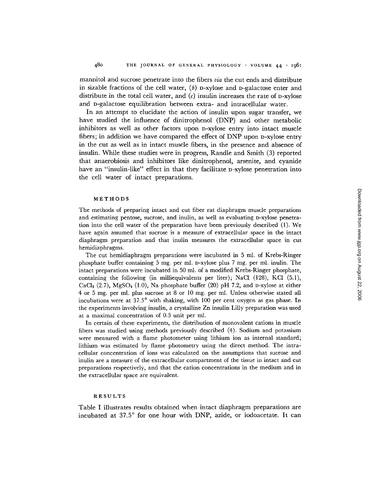mannitol and sucrose penetrate into the fibers *via* the cut ends and distribute in sizable fractions of the cell water,  $(b)$  p-xylose and p-galactose enter and distribute in the total cell water, and  $(c)$  insulin increases the rate of D-xylose and D-galactose equilibration between extra- and intracellular water.

In an attempt to elucidate the action of insulin upon sugar transfer, we have studied the influence of dinitrophenol (DNP) and other metabolic inhibitors as well as other factors upon D-xylose entry into intact muscle fibers; in addition we have compared the effect of DNP upon D-xylose entry in the cut as well as in intact muscle fibers, in the presence and absence of insulin. While these studies were in progress, Randle and Smith (3) reported that anaerobiosis and inhibitors like dinitrophenol, arsenite, and cyanide have an "insulin-like" effect in that they facilitate p-xylose penetration into the cell water of intact preparations.

## **METHODS**

The methods of preparing intact and cut fiber rat diaphragm muscle preparations and estimating pentose, sucrose, and inulin, as well as evaluating D-xylose penetration into the cell water of the preparation have been previously described (1). We have again assumed that sucrose is a measure of extracellular space in the intact diaphragm preparation and that inulin measures the extracellular space in cut hemidiaphragms.

The cut hemidiaphragm preparations were incubated in 5 ml. of Krebs-Ringer phosphate buffer containing 5 mg. per ml. D-xylose plus 7 mg. per ml. inulin. The intact preparations were incubated in 50 ml. of a modified Krebs-Ringer phosphate, containing the following (in milliequivalents per liter); NaC1 (128), KC1 (5.1),  $CaCl<sub>2</sub>(2.7)$ , MgSO<sub>4</sub> (1.0), Na phosphate buffer (20) pH 7.2, and D-xylose at either 4 or 5 rag. per ml. plus sucrose at 8 or 10 mg. per ml. Unless otherwise stated all incubations were at 37.5° with shaking, with 100 per cent oxygen as gas phase. In the experiments involving insulin, a crystalline Zn insulin Lilly preparation was used at a maximal concentration of 0.3 unit per ml.

In certain of these experiments, the distribution of monovalent cations in muscle fibers was studied using methods previously described (4). Sodium and potassium were measured with a flame photometer using lithium ion as internal standard; lithium was estimated by flame photometry using the direct method. The intracellular concentration of ions was calculated on the assumptions that sucrose and inulin are a measure of the extracellular compartment of the tissue in intact and cut preparations respectively, and that the cation concentrations in the medium and in the extracellular space are equivalent.

#### RESULTS

Table I illustrates results obtained when intact diaphragm preparations are incubated at  $37.5^{\circ}$  for one hour with DNP, azide, or iodoacetate. It can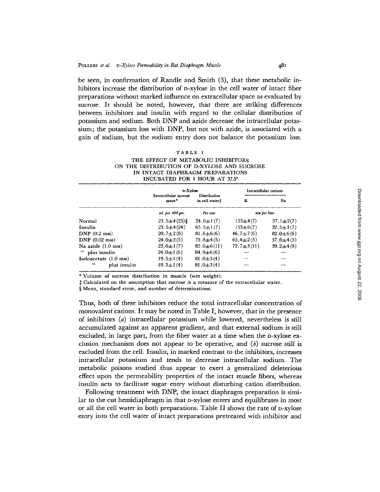be seen, in confirmation of Randle and Smith (3), that these metabolic inhibitors increase the distribution of D-xylose in the cell water of intact fiber preparations without marked influence on extracellular space as evaluated by sucrose. It should be noted, however, that there are striking differences between inhibitors and insulin with regard to the cellular distribution of potassium and sodium. Both DNP and azide decrease the intracellular potassium; the potassium loss with DNP, but not with azide, is associated with a gain of sodium, but the sodium entry does not balance the potassium loss.

| TABLE I                                     |
|---------------------------------------------|
| THE EFFECT OF METABOLIC INHIBITORS          |
| ON THE DISTRIBUTION OF D-XYLOSE AND SUCROSE |
| IN INTACT DIAPHRAGM PREPARATIONS            |
| INCUBATED FOR 1 HOUR AT 37.5°               |

|                                | D-Xylose                        |                                | Intracellular cations |                 |  |
|--------------------------------|---------------------------------|--------------------------------|-----------------------|-----------------|--|
|                                | Extracellular sucrose<br>space* | Distribution<br>in cell water! | ĸ                     | Na              |  |
|                                | ml. per 100 gm.                 | Per cent                       | mu per liter          |                 |  |
| Normal                         | $23.5 \pm 4(25)$ §              | $24.0 \pm 1(7)$                | $133\pm4(7)$          | $37.1 \pm 2(7)$ |  |
| Insulin                        | $23.5 \pm 4(24)$                | $65.5 \pm 1(7)$                | $153 \pm 6(7)$        | $32.3 \pm 3(7)$ |  |
| $DNP$ (0.2 mm)                 | $20.7 \pm 2(8)$                 | $81.6 \pm 6(6)$                | $46.7 \pm 7(6)$       | $82.0 \pm 6(6)$ |  |
| DNP $(0.02 \text{ }\text{m})$  | $24.0 \pm 3(5)$                 | $73.8 + 4(5)$                  | $65.4 \pm 2(5)$       | $57.6 \pm 4(5)$ |  |
| Na azide $(1.0 \text{ mm})$    | $23.6 \pm 1(7)$                 | $85.0 \pm 6(11)$               | $72.7 \pm 3(11)$      | $39.2 + 4(9)$   |  |
| " plus insulin                 | $24.0 \pm 1(6)$                 | $84.9 \pm 6(6)$                |                       |                 |  |
| $Iodoacetate (1.0 \text{ mm})$ | $19.5 \pm 1(4)$                 | $81.0 \pm 3(4)$                |                       |                 |  |
| $\epsilon$<br>plus insulin     | $19.3 \pm 1(4)$                 | 81.0 $\pm$ 3(4)                |                       |                 |  |

\* Volume of sucrose distribution in muscle (wet weight).

Calculated on the assumption that sucrose is a measure of the extracellular water,

§ Mean, standard error, and number of determinations.

Thus, both of these inhibitors reduce the total intracellular concentration of monovalent cations. It may be noted in Table I, however, that in the presence of inhibitors (a) intracellular potassium while lowered, nevertheless is still accumulated against an apparent gradient, and that external sodium is still excluded, in large part, from the fiber water at a time when the D-xylose exclusion mechanism does not appear to be operative, and  $(b)$  sucrose still is excluded from the cell. Insulin, in marked contrast to the inhibitors, increases intracellular potassium and tends to decrease intracellular sodium. The metabolic poisons studied thus appear to exert a generalized deleterious effect upon the permeability properties of the intact muscle fibers, whereas insulin acts to facilitate sugar entry without disturbing cation distribution.

Following treatment with DNP, the intact diaphragm preparation is similar to the cut hemidiaphragm in that D-xylose enters and equilibrates in most or all the cell water in both preparations. Table II shows the rate of n-xylose entry into the cell water of intact preparations pretreated with inhibitor and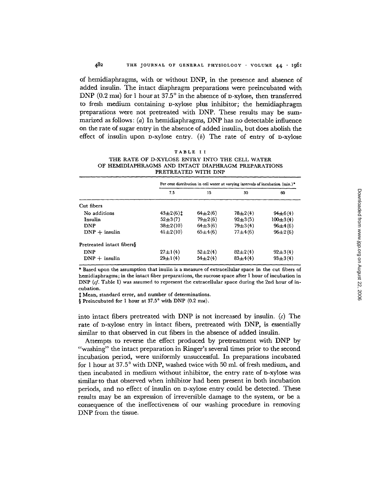of hemidiaphragms, with or without DNP, in the presence and absence of added insulin. The intact diaphragm preparations were preincubated with DNP (0.2 mm) for 1 hour at  $37.5^{\circ}$  in the absence of D-xylose, then transferred to fresh medium containing D-xylose plus inhibitor; the hemidiaphragm preparations were not pretreated with DNP. These results may be summarized as follows:  $(a)$  In hemidiaphragms, DNP has no detectable influence on the rate of sugar entry in the absence of added insulin, but does abolish the effect of insulin upon  $D$ -xylose entry. (b) The rate of entry of  $D$ -xylose

| TABLE II                                            |
|-----------------------------------------------------|
| THE RATE OF D-XYLOSE ENTRY INTO THE CELL WATER      |
| OF HEMIDIAPHRAGMS AND INTACT DIAPHRAGM PREPARATIONS |
| PRETREATED WITH DNP                                 |

|                           | Per cent distribution in cell water at varying intervals of incubation (min.)* |             |             |                |  |
|---------------------------|--------------------------------------------------------------------------------|-------------|-------------|----------------|--|
|                           | 7.5                                                                            | 15          | 30          | 60             |  |
| Cut fibers                |                                                                                |             |             |                |  |
| No additions              | $43\pm2(6)$ $\pm$                                                              | $64\pm2(6)$ | $78 + 2(4)$ | $94\pm 6(4)$   |  |
| Insulin                   | $52\pm3(7)$                                                                    | $79+2(6)$   | $92\pm3(5)$ | $100 \pm 3(4)$ |  |
| <b>DNP</b>                | $38\pm2(10)$                                                                   | $64\pm3(6)$ | $79 + 3(4)$ | $96 \pm 4(6)$  |  |
| $DNP +$ insulin           | $41\pm2(10)$                                                                   | $65+4(6)$   | $77 + 4(6)$ | $96\pm2(6)$    |  |
| Pretreated intact fibers§ |                                                                                |             |             |                |  |
| DNP                       | $27 \pm 1(4)$                                                                  | $52+2(4)$   | $82+2(4)$   | $92 \pm 3(4)$  |  |
| $DNP +$ insulin           | $29 \pm 1(4)$                                                                  | $54\pm2(4)$ | $83+4(4)$   | $93 \pm 3(4)$  |  |

\* Based upon the assumption that inulin is a measure of extracellular space in the cut fibers of hemidiaphragms; in the intact fiber preparations, the sucrose space after 1 hour of incubation in DNP  $(cf.$  Table I) was assumed to represent the extracellular space during the 2nd hour of incubation.

 $~\ddagger$  Mean, standard error, and number of determinations.

§ Preincubated for 1 hour at  $37.5^{\circ}$  with DNP (0.2 mm).

into intact fibers pretreated with DNP is not increased by insulin. (c) The rate of D-xylose entry in intact fibers, pretreated with DNP, is essentially similar to that observed in cut fibers in the absence of added insulin.

Attempts to reverse the effect produced by pretreatment with DNP by "washing" the intact preparation in Ringer's several times prior to the second incubation period, were uniformly unsuccessful. In preparations incubated for 1 hour at 37.5 ° with DNP, washed twice with 50 ml. of fresh medium, and then incubated in medium without inhibitor, the entry rate of D-xylose was similar to that observed when inhibitor had been present in both incubation periods, and no effect of insulin on D-xylose entry could be detected. These results may be an expression of irreversible damage to the system, or be a consequence of the ineffectiveness of our washing procedure in removing DNP from the tissue.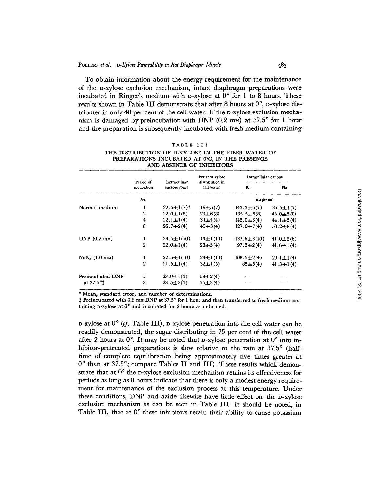To obtain information about the energy requirement for the maintenance of the D-xylose exclusion mechanism, intact diaphragm preparations were incubated in Ringer's medium with D-xylose at  $0^{\circ}$  for 1 to 8 hours. These results shown in Table III demonstrate that after 8 hours at  $0^{\circ}$ , p-xylose distributes in only 40 per cent of the cell water. If the D-xylose exclusion mechanism is damaged by preincubation with DNP  $(0.2 \text{ mm})$  at  $37.5^{\circ}$  for 1 hour and the preparation is subsequently incubated with fresh medium containing

|  | г | ABLE |  |  |  |  |  |  |  |
|--|---|------|--|--|--|--|--|--|--|
|--|---|------|--|--|--|--|--|--|--|

| THE DISTRIBUTION OF D-XYLOSE IN THE FIBER WATER OF |  |
|----------------------------------------------------|--|
| PREPARATIONS INCUBATED AT 0°C. IN THE PRESENCE     |  |
| AND ABSENCE OF INHIBITORS                          |  |

|                              | Per cent xylose         |                               | Intracellular cations         |                   |                 |
|------------------------------|-------------------------|-------------------------------|-------------------------------|-------------------|-----------------|
|                              | Period of<br>incubation | Extracelluar<br>sucrose space | distribution in<br>cell water | K                 | Na              |
|                              | hrs.                    |                               |                               | µи per ml.        |                 |
| Normal medium                | ı                       | $22.5 \pm 1(7)^*$             | $19+5(7)$                     | $143.3 \pm 5(7)$  | $35.5 \pm 1(7)$ |
|                              | $\overline{2}$          | $22.0 \pm 1(8)$               | $24\pm 6(8)$                  | $135.5 \pm 6(8)$  | $45.0 \pm 5(8)$ |
|                              | 4                       | $22.1 \pm 1(4)$               | $34\pm4(4)$                   | $142.0 \pm 3(4)$  | $44.1 \pm 5(4)$ |
|                              | 8                       | $26.7 + 2(4)$                 | $40\pm3(4)$                   | $127.0 \pm 7(4)$  | $50.2 \pm 8(4)$ |
| $DNP(0.2 \text{ mm})$        | I                       | $23.5 \pm 1(10)$              | $14 \pm 1(10)$                | $137.6 \pm 3(10)$ | 41.0 $\pm$ 2(6) |
|                              | $\overline{2}$          | $22.0 \pm 1(4)$               | $28\pm3(4)$                   | $97.2 \pm 2(4)$   | 41.6 $\pm$ 1(4) |
| $\text{Na}N_{2}$ (1.0 mm)    | ı                       | $22.5 \pm 1(10)$              | $23 \pm 1(10)$                | $108.5 \pm 2(4)$  | $29.1 \pm 1(4)$ |
|                              | $\overline{2}$          | $21.5 \pm 1(4)$               | $32 \pm 1(5)$                 | $85 \pm 5(4)$     | $41.3 \pm 1(4)$ |
| Preincubated DNP             | 1                       | $23.0 \pm 1(4)$               | $53 + 2(4)$                   |                   |                 |
| at $37.5^\circ$ <sup>1</sup> | $\overline{2}$          | $23.5 \pm 2(4)$               | $75 + 3(4)$                   |                   |                 |

\* Mean, standard error, and number of **determinations.** 

:~ Preincubated with 0.2 mM DNP at 37.5 ° for 1 hour and **then transferred to fresh** medium containing **p-xylose** at  $0^{\circ}$  and incubated for 2 hours as indicated.

D-xylose at  $0^{\circ}$  (cf. Table III), D-xylose penetration into the cell water can be readily demonstrated, the sugar distributing in 75 per cent of the cell water after 2 hours at  $0^{\circ}$ . It may be noted that p-xylose penetration at  $0^{\circ}$  into inhibitor-pretreated preparations is slow relative to the rate at 37.5° (halftime of complete equilibration being approximately five times greater at 0° than at 37.5°; compare Tables II and III). These results which demonstrate that at  $0^{\circ}$  the D-xylose exclusion mechanism retains its effectiveness for periods as long as 8 hours indicate that there is only a modest energy requirement for maintenance of the exclusion process at this temperature. Under these conditions, DNP and azide likewise have little effect on the D-xylose exclusion mechanism as can be seen in Table III. It should be noted, in Table III, that at  $0^{\circ}$  these inhibitors retain their ability to cause potassium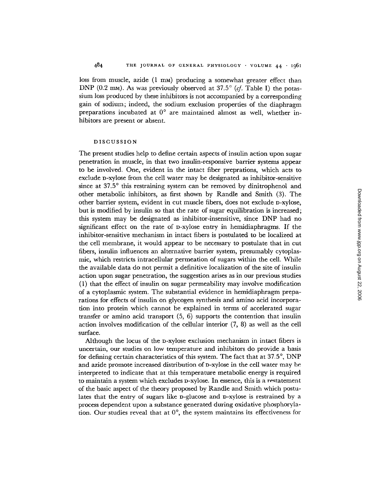loss from muscle, azide (1 mm) producing a somewhat greater effect than DNP (0.2 mm). As was previously observed at  $37.5^{\circ}$  (*cf.* Table I) the potassium loss produced by these inhibitors is not accompanied by a corresponding gain of sodium; indeed, the sodium exclusion properties of the diaphragm preparations incubated at  $0^{\circ}$  are maintained almost as well, whether inhibitors are present or absent.

### DISCUSSION

The present studies help to define certain aspects of insulin action upon sugar penetration in muscle, in that two insulin-responsive barrier systems appear to be involved. One, evident in the intact fiber preprations, which acts to exclude D-xylose from the cell water may be designated as inhibitor-sensitive since at 37.5° this restraining system can be removed by dinitrophenol and other metabolic inhibitors, as first shown by Randle and Smith (3). The other barrier system, evident in cut muscle fibers, does not exclude D-xylose, but is modified by insulin so that the rate of sugar equilibration is increased; this system may be designated as inhibitor-insensitive, since DNP had no significant effect on the rate of p-xylose entry in hemidiaphragms. If the inhibitor-sensitive mechanism in intact fibers is postulated to be localized at the cell membrane, it would appear to be necessary to postulate that in cut fibers, insulin influences an alternative barrier system, presumably cytoplasmic, which restricts intracellular permeation of sugars within the cell. While the available data do not permit a definitive localization of the site of insulin action upon sugar penetration, the suggestion arises as in our previous studies (1) that the effect of insulin on sugar permeability may involve modification of a cytoplasmic system. The substantial evidence in hemidiaphragm preparations for effects of insulin on glycogen synthesis and amino acid incorporation into protein which cannot be explained in terms of accelerated sugar transfer or amino acid transport (5, 6) supports the contention that insulin action involves modification of the cellular interior (7, 8) as well as the cell surface.

Although the locus of the D-xylose exclusion mechanism in intact fibers is uncertain, our studies on low temperature and inhibitors do provide a basis for defining certain characteristics of this system. The fact that at  $37.5^{\circ}$ , DNP and azide promote increased distribution of D-xylose in the cell water may he interpreted to indicate that at this temperature metabolic energy is required to maintain a system which excludes D-xylose. In essence, this is a restatement of the basic aspect of the theory proposed by Randle and Smith which postulates that the entry of sugars like D-glucose and D-xylose is restrained by a process dependent upon a substance generated during oxidative phosphorylation. Our studies reveal that at  $0^\circ$ , the system maintains its effectiveness for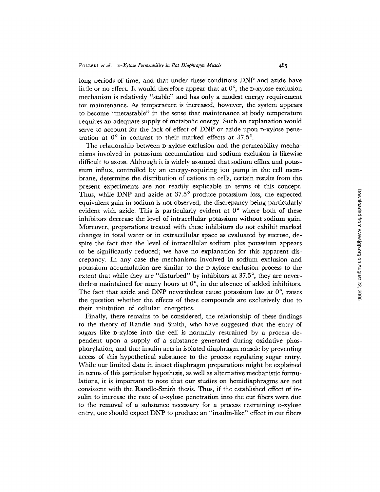long periods of time, and that under these conditions DNP and azide have little or no effect. It would therefore appear that at  $0^\circ$ , the D-xylose exclusion mechanism is relatively "stable" and has only a modest energy requirement for maintenance. As temperature is increased, however, the system appears to become "metastable" in the sense that maintenance at body temperature requires an adequate supply of metabolic energy. Such an explanation would serve to account for the lack of effect of DNP or azide upon D-xylose penetration at  $0^{\circ}$  in contrast to their marked effects at 37.5°.

The relationship between D-xylose exclusion and the permeability mechanisms involved in potassium accumulation and sodium exclusion is likewise difficult to assess. Although it is widely assumed that sodium efflux and potassium influx, controlled by an energy-requiring ion pump in the cell membrane, determine the distribution of cations in cells, certain results from the present experiments are not readily explicable in terms of this concept. Thus, while DNP and azide at 37.5° produce potassium loss, the expected equivalent gain in sodium is not observed, the discrepancy being particularly evident with azide. This is particularly evident at  $0^{\circ}$  where both of these inhibitors decrease the level of intracellular potassium without sodium gain. Moreover, preparations treated with these inhibitors do not exhibit marked changes in total water or in extracellular space as evaluated by sucrose, despite the fact that the level of intracellular sodium plus potassium appears to be significantly reduced; we have no explanation for this apparent discrepancy. In any case the mechanisms involved in sodium exclusion and potassium accumulation are similar to the D-xylose exclusion process to the extent that while they are "disturbed" by inhibitors at 37.5°, they are nevertheless maintained for many hours at  $0^{\circ}$ , in the absence of added inhibitors. The fact that azide and DNP nevertheless cause potassium loss at  $0^\circ$ , raises the question whether the effects of these compounds are exclusively due to their inhibition of cellular energetics.

Finally, there remains to be considered, the relationship of these findings to the theory of Randle and Smith, who have suggested that the entry of sugars like D-xylose into the cell is normally restrained by a process dependent upon a supply of a substance generated during oxidative phosphorylation, and that insulin acts in isolated diaphragm muscle by preventing access of this hypothetical substance to the process regulating sugar entry. While our limited data in intact diaphragm preparations might be explained in terms of this particular hypothesis, as well as alternative mechanistic formulations, it is important to note that our studies on hemidiaphragms are not consistent with the Randle-Smith thesis. Thus, if the established effect of insulin to increase the rate of D-xylose penetration into the cut fibers were due to the removal of a substance necessary for a process restraining D-xyIose entry, one should expect DNP to produce an "insulin-like" effect in cut fibers